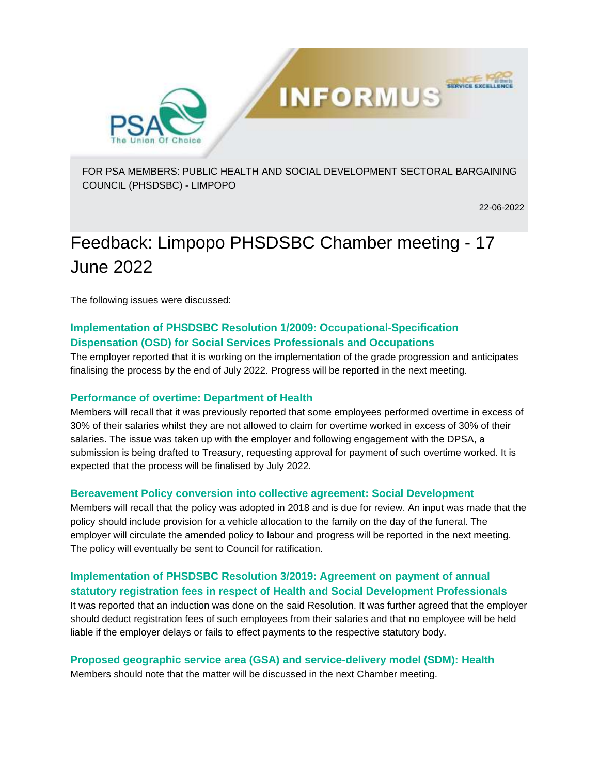

FOR PSA MEMBERS: PUBLIC HEALTH AND SOCIAL DEVELOPMENT SECTORAL BARGAINING COUNCIL (PHSDSBC) - LIMPOPO

**INFORMUS** 

22-06-2022

**SERVICE EXCELLE** 

# Feedback: Limpopo PHSDSBC Chamber meeting - 17 June 2022

The following issues were discussed:

# **Implementation of PHSDSBC Resolution 1/2009: Occupational-Specification Dispensation (OSD) for Social Services Professionals and Occupations**

The employer reported that it is working on the implementation of the grade progression and anticipates finalising the process by the end of July 2022. Progress will be reported in the next meeting.

## **Performance of overtime: Department of Health**

Members will recall that it was previously reported that some employees performed overtime in excess of 30% of their salaries whilst they are not allowed to claim for overtime worked in excess of 30% of their salaries. The issue was taken up with the employer and following engagement with the DPSA, a submission is being drafted to Treasury, requesting approval for payment of such overtime worked. It is expected that the process will be finalised by July 2022.

#### **Bereavement Policy conversion into collective agreement: Social Development**

Members will recall that the policy was adopted in 2018 and is due for review. An input was made that the policy should include provision for a vehicle allocation to the family on the day of the funeral. The employer will circulate the amended policy to labour and progress will be reported in the next meeting. The policy will eventually be sent to Council for ratification.

# **Implementation of PHSDSBC Resolution 3/2019: Agreement on payment of annual statutory registration fees in respect of Health and Social Development Professionals**

It was reported that an induction was done on the said Resolution. It was further agreed that the employer should deduct registration fees of such employees from their salaries and that no employee will be held liable if the employer delays or fails to effect payments to the respective statutory body.

## **Proposed geographic service area (GSA) and service-delivery model (SDM): Health**

Members should note that the matter will be discussed in the next Chamber meeting.